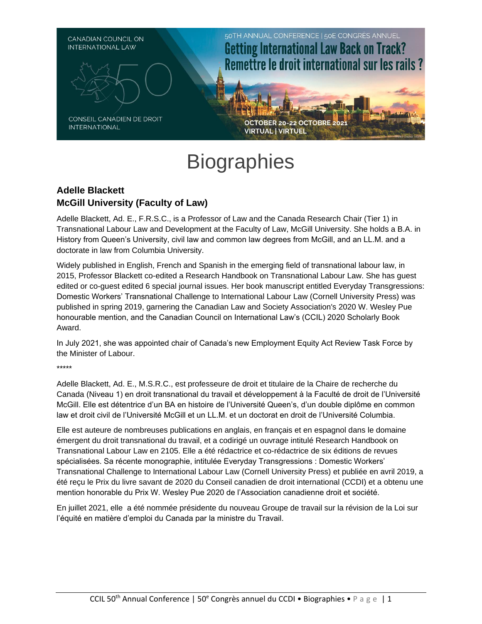

# **Biographies**

# **Adelle Blackett McGill University (Faculty of Law)**

Adelle Blackett, Ad. E., F.R.S.C., is a Professor of Law and the Canada Research Chair (Tier 1) in Transnational Labour Law and Development at the Faculty of Law, McGill University. She holds a B.A. in History from Queen's University, civil law and common law degrees from McGill, and an LL.M. and a doctorate in law from Columbia University.

Widely published in English, French and Spanish in the emerging field of transnational labour law, in 2015, Professor Blackett co-edited a Research Handbook on Transnational Labour Law. She has guest edited or co-guest edited 6 special journal issues. Her book manuscript entitled Everyday Transgressions: Domestic Workers' Transnational Challenge to International Labour Law (Cornell University Press) was published in spring 2019, garnering the Canadian Law and Society Association's 2020 W. Wesley Pue honourable mention, and the Canadian Council on International Law's (CCIL) 2020 Scholarly Book Award.

In July 2021, she was appointed chair of Canada's new Employment Equity Act Review Task Force by the Minister of Labour.

\*\*\*\*\*

Adelle Blackett, Ad. E., M.S.R.C., est professeure de droit et titulaire de la Chaire de recherche du Canada (Niveau 1) en droit transnational du travail et développement à la Faculté de droit de l'Université McGill. Elle est détentrice d'un BA en histoire de l'Université Queen's, d'un double diplôme en common law et droit civil de l'Université McGill et un LL.M. et un doctorat en droit de l'Université Columbia.

Elle est auteure de nombreuses publications en anglais, en français et en espagnol dans le domaine émergent du droit transnational du travail, et a codirigé un ouvrage intitulé Research Handbook on Transnational Labour Law en 2105. Elle a été rédactrice et co-rédactrice de six éditions de revues spécialisées. Sa récente monographie, intitulée Everyday Transgressions : Domestic Workers' Transnational Challenge to International Labour Law (Cornell University Press) et publiée en avril 2019, a été reçu le Prix du livre savant de 2020 du Conseil canadien de droit international (CCDI) et a obtenu une mention honorable du Prix W. Wesley Pue 2020 de l'Association canadienne droit et société.

En juillet 2021, elle a été nommée présidente du nouveau Groupe de travail sur la révision de la Loi sur l'équité en matière d'emploi du Canada par la ministre du Travail.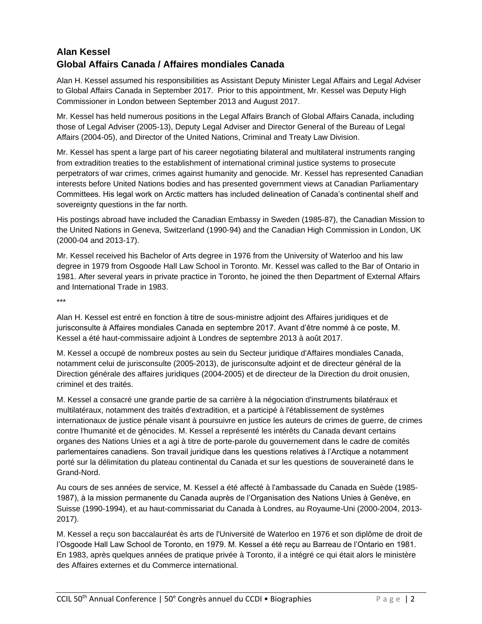# **Alan Kessel Global Affairs Canada / Affaires mondiales Canada**

Alan H. Kessel assumed his responsibilities as Assistant Deputy Minister Legal Affairs and Legal Adviser to Global Affairs Canada in September 2017. Prior to this appointment, Mr. Kessel was Deputy High Commissioner in London between September 2013 and August 2017.

Mr. Kessel has held numerous positions in the Legal Affairs Branch of Global Affairs Canada, including those of Legal Adviser (2005-13), Deputy Legal Adviser and Director General of the Bureau of Legal Affairs (2004-05), and Director of the United Nations, Criminal and Treaty Law Division.

Mr. Kessel has spent a large part of his career negotiating bilateral and multilateral instruments ranging from extradition treaties to the establishment of international criminal justice systems to prosecute perpetrators of war crimes, crimes against humanity and genocide. Mr. Kessel has represented Canadian interests before United Nations bodies and has presented government views at Canadian Parliamentary Committees. His legal work on Arctic matters has included delineation of Canada's continental shelf and sovereignty questions in the far north.

His postings abroad have included the Canadian Embassy in Sweden (1985-87), the Canadian Mission to the United Nations in Geneva, Switzerland (1990-94) and the Canadian High Commission in London, UK (2000-04 and 2013-17).

Mr. Kessel received his Bachelor of Arts degree in 1976 from the University of Waterloo and his law degree in 1979 from Osgoode Hall Law School in Toronto. Mr. Kessel was called to the Bar of Ontario in 1981. After several years in private practice in Toronto, he joined the then Department of External Affairs and International Trade in 1983.

\*\*\*

Alan H. Kessel est entré en fonction à titre de sous-ministre adjoint des Affaires juridiques et de jurisconsulte à Affaires mondiales Canada en septembre 2017. Avant d'être nommé à ce poste, M. Kessel a été haut-commissaire adjoint à Londres de septembre 2013 à août 2017.

M. Kessel a occupé de nombreux postes au sein du Secteur juridique d'Affaires mondiales Canada, notamment celui de jurisconsulte (2005-2013), de jurisconsulte adjoint et de directeur général de la Direction générale des affaires juridiques (2004-2005) et de directeur de la Direction du droit onusien, criminel et des traités.

M. Kessel a consacré une grande partie de sa carrière à la négociation d'instruments bilatéraux et multilatéraux, notamment des traités d'extradition, et a participé à l'établissement de systèmes internationaux de justice pénale visant à poursuivre en justice les auteurs de crimes de guerre, de crimes contre l'humanité et de génocides. M. Kessel a représenté les intérêts du Canada devant certains organes des Nations Unies et a agi à titre de porte-parole du gouvernement dans le cadre de comités parlementaires canadiens. Son travail juridique dans les questions relatives à l'Arctique a notamment porté sur la délimitation du plateau continental du Canada et sur les questions de souveraineté dans le Grand-Nord.

Au cours de ses années de service, M. Kessel a été affecté à l'ambassade du Canada en Suède (1985- 1987), à la mission permanente du Canada auprès de l'Organisation des Nations Unies à Genève, en Suisse (1990-1994), et au haut-commissariat du Canada à Londres, au Royaume-Uni (2000-2004, 2013- 2017).

M. Kessel a reçu son baccalauréat ès arts de l'Université de Waterloo en 1976 et son diplôme de droit de l'Osgoode Hall Law School de Toronto, en 1979. M. Kessel a été reçu au Barreau de l'Ontario en 1981. En 1983, après quelques années de pratique privée à Toronto, il a intégré ce qui était alors le ministère des Affaires externes et du Commerce international.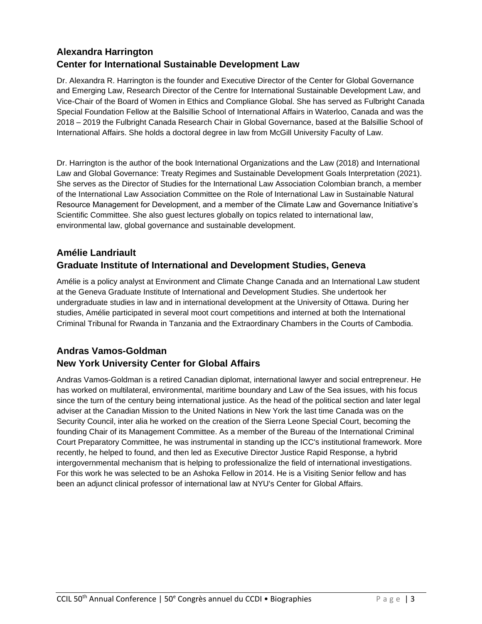# **Alexandra Harrington Center for International Sustainable Development Law**

Dr. Alexandra R. Harrington is the founder and Executive Director of the Center for Global Governance and Emerging Law, Research Director of the Centre for International Sustainable Development Law, and Vice-Chair of the Board of Women in Ethics and Compliance Global. She has served as Fulbright Canada Special Foundation Fellow at the Balsillie School of International Affairs in Waterloo, Canada and was the 2018 – 2019 the Fulbright Canada Research Chair in Global Governance, based at the Balsillie School of International Affairs. She holds a doctoral degree in law from McGill University Faculty of Law.

Dr. Harrington is the author of the book International Organizations and the Law (2018) and International Law and Global Governance: Treaty Regimes and Sustainable Development Goals Interpretation (2021). She serves as the Director of Studies for the International Law Association Colombian branch, a member of the International Law Association Committee on the Role of International Law in Sustainable Natural Resource Management for Development, and a member of the Climate Law and Governance Initiative's Scientific Committee. She also guest lectures globally on topics related to international law, environmental law, global governance and sustainable development.

# **Amélie Landriault Graduate Institute of International and Development Studies, Geneva**

Amélie is a policy analyst at Environment and Climate Change Canada and an International Law student at the Geneva Graduate Institute of International and Development Studies. She undertook her undergraduate studies in law and in international development at the University of Ottawa. During her studies, Amélie participated in several moot court competitions and interned at both the International Criminal Tribunal for Rwanda in Tanzania and the Extraordinary Chambers in the Courts of Cambodia.

# **Andras Vamos-Goldman New York University Center for Global Affairs**

Andras Vamos-Goldman is a retired Canadian diplomat, international lawyer and social entrepreneur. He has worked on multilateral, environmental, maritime boundary and Law of the Sea issues, with his focus since the turn of the century being international justice. As the head of the political section and later legal adviser at the Canadian Mission to the United Nations in New York the last time Canada was on the Security Council, inter alia he worked on the creation of the Sierra Leone Special Court, becoming the founding Chair of its Management Committee. As a member of the Bureau of the International Criminal Court Preparatory Committee, he was instrumental in standing up the ICC's institutional framework. More recently, he helped to found, and then led as Executive Director Justice Rapid Response, a hybrid intergovernmental mechanism that is helping to professionalize the field of international investigations. For this work he was selected to be an Ashoka Fellow in 2014. He is a Visiting Senior fellow and has been an adjunct clinical professor of international law at NYU's Center for Global Affairs.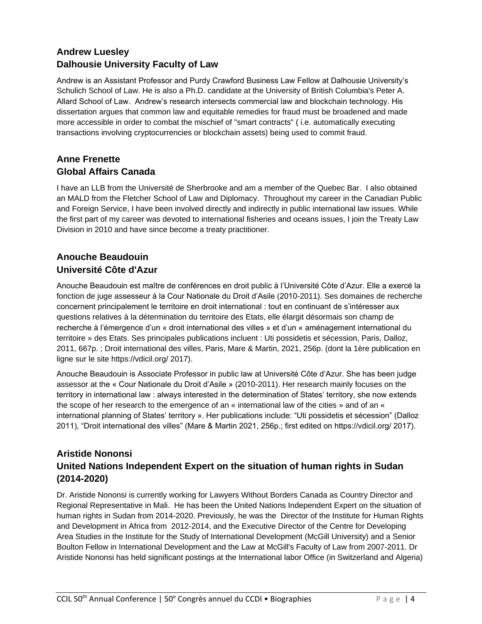# **Andrew Luesley Dalhousie University Faculty of Law**

Andrew is an Assistant Professor and Purdy Crawford Business Law Fellow at Dalhousie University's Schulich School of Law. He is also a Ph.D. candidate at the University of British Columbia's Peter A. Allard School of Law. Andrew's research intersects commercial law and blockchain technology. His dissertation argues that common law and equitable remedies for fraud must be broadened and made more accessible in order to combat the mischief of "smart contracts" ( i.e. automatically executing transactions involving cryptocurrencies or blockchain assets) being used to commit fraud.

### **Anne Frenette Global Affairs Canada**

I have an LLB from the Université de Sherbrooke and am a member of the Quebec Bar. I also obtained an MALD from the Fletcher School of Law and Diplomacy. Throughout my career in the Canadian Public and Foreign Service, I have been involved directly and indirectly in public international law issues. While the first part of my career was devoted to international fisheries and oceans issues, I join the Treaty Law Division in 2010 and have since become a treaty practitioner.

## **Anouche Beaudouin Université Côte d'Azur**

Anouche Beaudouin est maître de conférences en droit public à l'Université Côte d'Azur. Elle a exercé la fonction de juge assesseur à la Cour Nationale du Droit d'Asile (2010-2011). Ses domaines de recherche concernent principalement le territoire en droit international : tout en continuant de s'intéresser aux questions relatives à la détermination du territoire des Etats, elle élargit désormais son champ de recherche à l'émergence d'un « droit international des villes » et d'un « aménagement international du territoire » des Etats. Ses principales publications incluent : Uti possidetis et sécession, Paris, Dalloz, 2011, 667p. ; Droit international des villes, Paris, Mare & Martin, 2021, 256p. (dont la 1ère publication en ligne sur le site https://vdicil.org/ 2017).

Anouche Beaudouin is Associate Professor in public law at Université Côte d'Azur. She has been judge assessor at the « Cour Nationale du Droit d'Asile » (2010-2011). Her research mainly focuses on the territory in international law : always interested in the determination of States' territory, she now extends the scope of her research to the emergence of an « international law of the cities » and of an « international planning of States' territory ». Her publications include: "Uti possidetis et sécession" (Dalloz 2011), "Droit international des villes" (Mare & Martin 2021, 256p.; first edited on https://vdicil.org/ 2017).

## **Aristide Nononsi United Nations Independent Expert on the situation of human rights in Sudan (2014-2020)**

Dr. Aristide Nononsi is currently working for Lawyers Without Borders Canada as Country Director and Regional Representative in Mali. He has been the United Nations Independent Expert on the situation of human rights in Sudan from 2014-2020. Previously, he was the Director of the Institute for Human Rights and Development in Africa from 2012-2014, and the Executive Director of the Centre for Developing Area Studies in the Institute for the Study of International Development (McGill University) and a Senior Boulton Fellow in International Development and the Law at McGill's Faculty of Law from 2007-2011. Dr Aristide Nononsi has held significant postings at the International labor Office (in Switzerland and Algeria)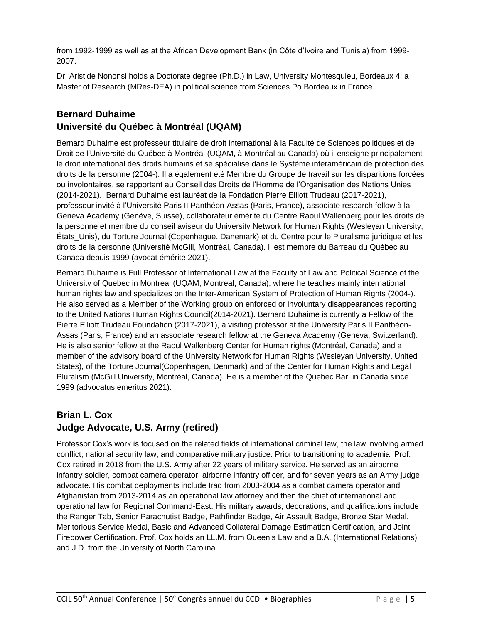from 1992-1999 as well as at the African Development Bank (in Côte d'Ivoire and Tunisia) from 1999- 2007.

Dr. Aristide Nononsi holds a Doctorate degree (Ph.D.) in Law, University Montesquieu, Bordeaux 4; a Master of Research (MRes-DEA) in political science from Sciences Po Bordeaux in France.

#### **Bernard Duhaime Université du Québec à Montréal (UQAM)**

Bernard Duhaime est professeur titulaire de droit international à la Faculté de Sciences politiques et de Droit de l'Université du Québec à Montréal (UQAM, à Montréal au Canada) où il enseigne principalement le droit international des droits humains et se spécialise dans le Système interaméricain de protection des droits de la personne (2004-). Il a également été Membre du Groupe de travail sur les disparitions forcées ou involontaires, se rapportant au Conseil des Droits de l'Homme de l'Organisation des Nations Unies (2014-2021). Bernard Duhaime est lauréat de la Fondation Pierre Elliott Trudeau (2017-2021), professeur invité à l'Université Paris II Panthéon-Assas (Paris, France), associate research fellow à la Geneva Academy (Genève, Suisse), collaborateur émérite du Centre Raoul Wallenberg pour les droits de la personne et membre du conseil aviseur du University Network for Human Rights (Wesleyan University, États\_Unis), du Torture Journal (Copenhague, Danemark) et du Centre pour le Pluralisme juridique et les droits de la personne (Université McGill, Montréal, Canada). Il est membre du Barreau du Québec au Canada depuis 1999 (avocat émérite 2021).

Bernard Duhaime is Full Professor of International Law at the Faculty of Law and Political Science of the University of Quebec in Montreal (UQAM, Montreal, Canada), where he teaches mainly international human rights law and specializes on the Inter-American System of Protection of Human Rights (2004-). He also served as a Member of the Working group on enforced or involuntary disappearances reporting to the United Nations Human Rights Council(2014-2021). Bernard Duhaime is currently a Fellow of the Pierre Elliott Trudeau Foundation (2017-2021), a visiting professor at the University Paris II Panthéon-Assas (Paris, France) and an associate research fellow at the Geneva Academy (Geneva, Switzerland). He is also senior fellow at the Raoul Wallenberg Center for Human rights (Montréal, Canada) and a member of the advisory board of the University Network for Human Rights (Wesleyan University, United States), of the Torture Journal(Copenhagen, Denmark) and of the Center for Human Rights and Legal Pluralism (McGill University, Montréal, Canada). He is a member of the Quebec Bar, in Canada since 1999 (advocatus emeritus 2021).

## **Brian L. Cox Judge Advocate, U.S. Army (retired)**

Professor Cox's work is focused on the related fields of international criminal law, the law involving armed conflict, national security law, and comparative military justice. Prior to transitioning to academia, Prof. Cox retired in 2018 from the U.S. Army after 22 years of military service. He served as an airborne infantry soldier, combat camera operator, airborne infantry officer, and for seven years as an Army judge advocate. His combat deployments include Iraq from 2003-2004 as a combat camera operator and Afghanistan from 2013-2014 as an operational law attorney and then the chief of international and operational law for Regional Command-East. His military awards, decorations, and qualifications include the Ranger Tab, Senior Parachutist Badge, Pathfinder Badge, Air Assault Badge, Bronze Star Medal, Meritorious Service Medal, Basic and Advanced Collateral Damage Estimation Certification, and Joint Firepower Certification. Prof. Cox holds an LL.M. from Queen's Law and a B.A. (International Relations) and J.D. from the University of North Carolina.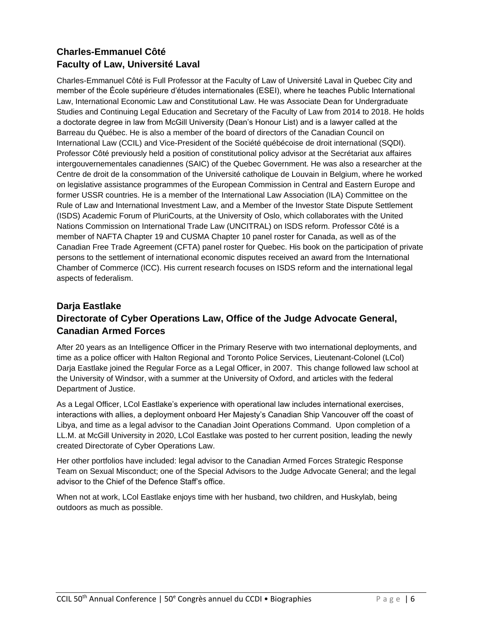# **Charles-Emmanuel Côté Faculty of Law, Université Laval**

Charles-Emmanuel Côté is Full Professor at the Faculty of Law of Université Laval in Quebec City and member of the École supérieure d'études internationales (ESEI), where he teaches Public International Law, International Economic Law and Constitutional Law. He was Associate Dean for Undergraduate Studies and Continuing Legal Education and Secretary of the Faculty of Law from 2014 to 2018. He holds a doctorate degree in law from McGill University (Dean's Honour List) and is a lawyer called at the Barreau du Québec. He is also a member of the board of directors of the Canadian Council on International Law (CCIL) and Vice-President of the Société québécoise de droit international (SQDI). Professor Côté previously held a position of constitutional policy advisor at the Secrétariat aux affaires intergouvernementales canadiennes (SAIC) of the Quebec Government. He was also a researcher at the Centre de droit de la consommation of the Université catholique de Louvain in Belgium, where he worked on legislative assistance programmes of the European Commission in Central and Eastern Europe and former USSR countries. He is a member of the International Law Association (ILA) Committee on the Rule of Law and International Investment Law, and a Member of the Investor State Dispute Settlement (ISDS) Academic Forum of PluriCourts, at the University of Oslo, which collaborates with the United Nations Commission on International Trade Law (UNCITRAL) on ISDS reform. Professor Côté is a member of NAFTA Chapter 19 and CUSMA Chapter 10 panel roster for Canada, as well as of the Canadian Free Trade Agreement (CFTA) panel roster for Quebec. His book on the participation of private persons to the settlement of international economic disputes received an award from the International Chamber of Commerce (ICC). His current research focuses on ISDS reform and the international legal aspects of federalism.

# **Darja Eastlake Directorate of Cyber Operations Law, Office of the Judge Advocate General, Canadian Armed Forces**

After 20 years as an Intelligence Officer in the Primary Reserve with two international deployments, and time as a police officer with Halton Regional and Toronto Police Services, Lieutenant-Colonel (LCol) Darja Eastlake joined the Regular Force as a Legal Officer, in 2007. This change followed law school at the University of Windsor, with a summer at the University of Oxford, and articles with the federal Department of Justice.

As a Legal Officer, LCol Eastlake's experience with operational law includes international exercises, interactions with allies, a deployment onboard Her Majesty's Canadian Ship Vancouver off the coast of Libya, and time as a legal advisor to the Canadian Joint Operations Command. Upon completion of a LL.M. at McGill University in 2020, LCol Eastlake was posted to her current position, leading the newly created Directorate of Cyber Operations Law.

Her other portfolios have included: legal advisor to the Canadian Armed Forces Strategic Response Team on Sexual Misconduct; one of the Special Advisors to the Judge Advocate General; and the legal advisor to the Chief of the Defence Staff's office.

When not at work, LCol Eastlake enjoys time with her husband, two children, and Huskylab, being outdoors as much as possible.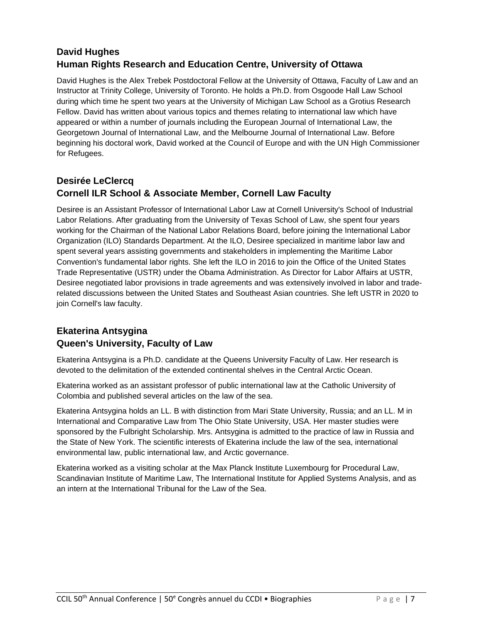# **David Hughes Human Rights Research and Education Centre, University of Ottawa**

David Hughes is the Alex Trebek Postdoctoral Fellow at the University of Ottawa, Faculty of Law and an Instructor at Trinity College, University of Toronto. He holds a Ph.D. from Osgoode Hall Law School during which time he spent two years at the University of Michigan Law School as a Grotius Research Fellow. David has written about various topics and themes relating to international law which have appeared or within a number of journals including the European Journal of International Law, the Georgetown Journal of International Law, and the Melbourne Journal of International Law. Before beginning his doctoral work, David worked at the Council of Europe and with the UN High Commissioner for Refugees.

#### **Desirée LeClercq Cornell ILR School & Associate Member, Cornell Law Faculty**

Desiree is an Assistant Professor of International Labor Law at Cornell University's School of Industrial Labor Relations. After graduating from the University of Texas School of Law, she spent four years working for the Chairman of the National Labor Relations Board, before joining the International Labor Organization (ILO) Standards Department. At the ILO, Desiree specialized in maritime labor law and spent several years assisting governments and stakeholders in implementing the Maritime Labor Convention's fundamental labor rights. She left the ILO in 2016 to join the Office of the United States Trade Representative (USTR) under the Obama Administration. As Director for Labor Affairs at USTR, Desiree negotiated labor provisions in trade agreements and was extensively involved in labor and traderelated discussions between the United States and Southeast Asian countries. She left USTR in 2020 to join Cornell's law faculty.

## **Ekaterina Antsygina Queen's University, Faculty of Law**

Ekaterina Antsygina is a Ph.D. candidate at the Queens University Faculty of Law. Her research is devoted to the delimitation of the extended continental shelves in the Central Arctic Ocean.

Ekaterina worked as an assistant professor of public international law at the Catholic University of Colombia and published several articles on the law of the sea.

Ekaterina Antsygina holds an LL. B with distinction from Mari State University, Russia; and an LL. M in International and Comparative Law from The Ohio State University, USA. Her master studies were sponsored by the Fulbright Scholarship. Mrs. Antsygina is admitted to the practice of law in Russia and the State of New York. The scientific interests of Ekaterina include the law of the sea, international environmental law, public international law, and Arctic governance.

Ekaterina worked as a visiting scholar at the Max Planck Institute Luxembourg for Procedural Law, Scandinavian Institute of Maritime Law, The International Institute for Applied Systems Analysis, and as an intern at the International Tribunal for the Law of the Sea.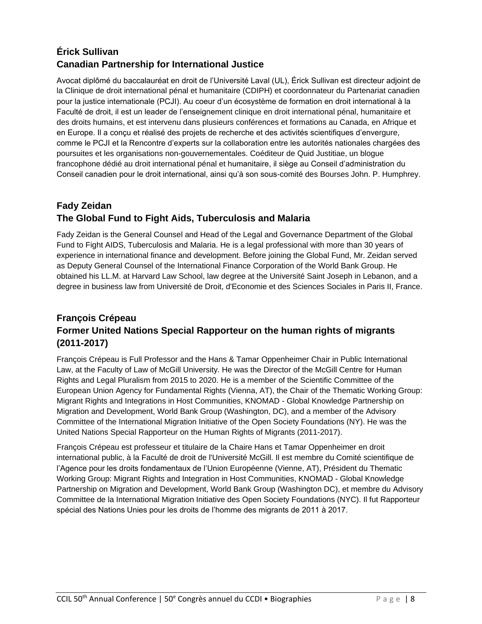# **Érick Sullivan Canadian Partnership for International Justice**

Avocat diplômé du baccalauréat en droit de l'Université Laval (UL), Érick Sullivan est directeur adjoint de la Clinique de droit international pénal et humanitaire (CDIPH) et coordonnateur du Partenariat canadien pour la justice internationale (PCJI). Au coeur d'un écosystème de formation en droit international à la Faculté de droit, il est un leader de l'enseignement clinique en droit international pénal, humanitaire et des droits humains, et est intervenu dans plusieurs conférences et formations au Canada, en Afrique et en Europe. Il a conçu et réalisé des projets de recherche et des activités scientifiques d'envergure, comme le PCJI et la Rencontre d'experts sur la collaboration entre les autorités nationales chargées des poursuites et les organisations non-gouvernementales. Coéditeur de Quid Justitiae, un blogue francophone dédié au droit international pénal et humanitaire, il siège au Conseil d'administration du Conseil canadien pour le droit international, ainsi qu'à son sous-comité des Bourses John. P. Humphrey.

## **Fady Zeidan The Global Fund to Fight Aids, Tuberculosis and Malaria**

Fady Zeidan is the General Counsel and Head of the Legal and Governance Department of the Global Fund to Fight AIDS, Tuberculosis and Malaria. He is a legal professional with more than 30 years of experience in international finance and development. Before joining the Global Fund, Mr. Zeidan served as Deputy General Counsel of the International Finance Corporation of the World Bank Group. He obtained his LL.M. at Harvard Law School, law degree at the Université Saint Joseph in Lebanon, and a degree in business law from Université de Droit, d'Economie et des Sciences Sociales in Paris II, France.

# **François Crépeau Former United Nations Special Rapporteur on the human rights of migrants (2011-2017)**

François Crépeau is Full Professor and the Hans & Tamar Oppenheimer Chair in Public International Law, at the Faculty of Law of McGill University. He was the Director of the McGill Centre for Human Rights and Legal Pluralism from 2015 to 2020. He is a member of the Scientific Committee of the European Union Agency for Fundamental Rights (Vienna, AT), the Chair of the Thematic Working Group: Migrant Rights and Integrations in Host Communities, KNOMAD - Global Knowledge Partnership on Migration and Development, World Bank Group (Washington, DC), and a member of the Advisory Committee of the International Migration Initiative of the Open Society Foundations (NY). He was the United Nations Special Rapporteur on the Human Rights of Migrants (2011-2017).

François Crépeau est professeur et titulaire de la Chaire Hans et Tamar Oppenheimer en droit international public, à la Faculté de droit de l'Université McGill. Il est membre du Comité scientifique de l'Agence pour les droits fondamentaux de l'Union Européenne (Vienne, AT), Président du Thematic Working Group: Migrant Rights and Integration in Host Communities, KNOMAD - Global Knowledge Partnership on Migration and Development, World Bank Group (Washington DC), et membre du Advisory Committee de la International Migration Initiative des Open Society Foundations (NYC). Il fut Rapporteur spécial des Nations Unies pour les droits de l'homme des migrants de 2011 à 2017.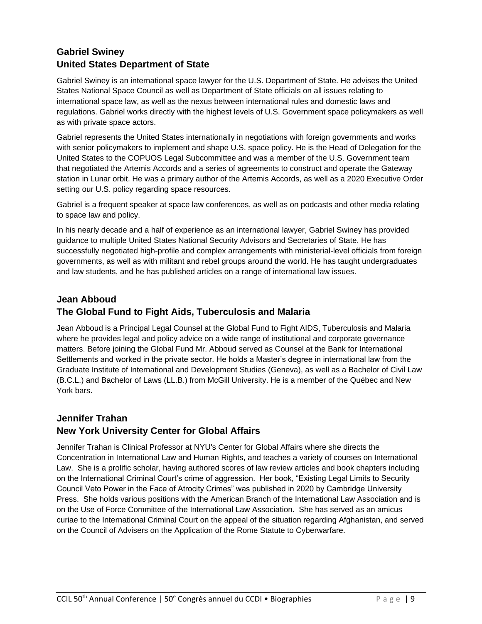# **Gabriel Swiney United States Department of State**

Gabriel Swiney is an international space lawyer for the U.S. Department of State. He advises the United States National Space Council as well as Department of State officials on all issues relating to international space law, as well as the nexus between international rules and domestic laws and regulations. Gabriel works directly with the highest levels of U.S. Government space policymakers as well as with private space actors.

Gabriel represents the United States internationally in negotiations with foreign governments and works with senior policymakers to implement and shape U.S. space policy. He is the Head of Delegation for the United States to the COPUOS Legal Subcommittee and was a member of the U.S. Government team that negotiated the Artemis Accords and a series of agreements to construct and operate the Gateway station in Lunar orbit. He was a primary author of the Artemis Accords, as well as a 2020 Executive Order setting our U.S. policy regarding space resources.

Gabriel is a frequent speaker at space law conferences, as well as on podcasts and other media relating to space law and policy.

In his nearly decade and a half of experience as an international lawyer, Gabriel Swiney has provided guidance to multiple United States National Security Advisors and Secretaries of State. He has successfully negotiated high-profile and complex arrangements with ministerial-level officials from foreign governments, as well as with militant and rebel groups around the world. He has taught undergraduates and law students, and he has published articles on a range of international law issues.

### **Jean Abboud The Global Fund to Fight Aids, Tuberculosis and Malaria**

Jean Abboud is a Principal Legal Counsel at the Global Fund to Fight AIDS, Tuberculosis and Malaria where he provides legal and policy advice on a wide range of institutional and corporate governance matters. Before joining the Global Fund Mr. Abboud served as Counsel at the Bank for International Settlements and worked in the private sector. He holds a Master's degree in international law from the Graduate Institute of International and Development Studies (Geneva), as well as a Bachelor of Civil Law (B.C.L.) and Bachelor of Laws (LL.B.) from McGill University. He is a member of the Québec and New York bars.

## **Jennifer Trahan New York University Center for Global Affairs**

Jennifer Trahan is Clinical Professor at NYU's Center for Global Affairs where she directs the Concentration in International Law and Human Rights, and teaches a variety of courses on International Law. She is a prolific scholar, having authored scores of law review articles and book chapters including on the International Criminal Court's crime of aggression. Her book, "Existing Legal Limits to Security Council Veto Power in the Face of Atrocity Crimes" was published in 2020 by Cambridge University Press. She holds various positions with the American Branch of the International Law Association and is on the Use of Force Committee of the International Law Association. She has served as an amicus curiae to the International Criminal Court on the appeal of the situation regarding Afghanistan, and served on the Council of Advisers on the Application of the Rome Statute to Cyberwarfare.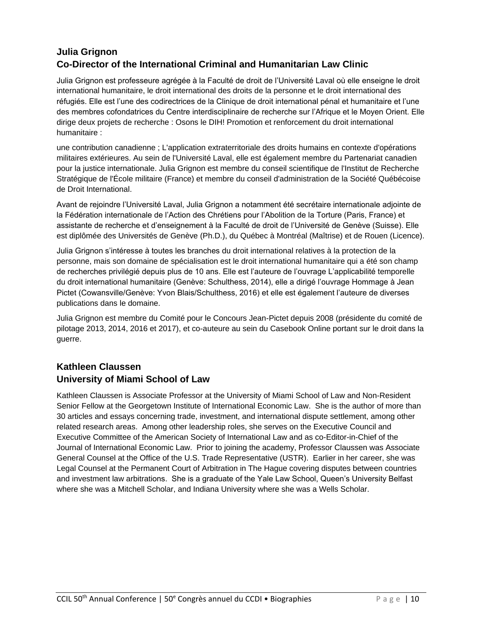# **Julia Grignon Co-Director of the International Criminal and Humanitarian Law Clinic**

Julia Grignon est professeure agrégée à la Faculté de droit de l'Université Laval où elle enseigne le droit international humanitaire, le droit international des droits de la personne et le droit international des réfugiés. Elle est l'une des codirectrices de la Clinique de droit international pénal et humanitaire et l'une des membres cofondatrices du Centre interdisciplinaire de recherche sur l'Afrique et le Moyen Orient. Elle dirige deux projets de recherche : Osons le DIH! Promotion et renforcement du droit international humanitaire :

une contribution canadienne ; L'application extraterritoriale des droits humains en contexte d'opérations militaires extérieures. Au sein de l'Université Laval, elle est également membre du Partenariat canadien pour la justice internationale. Julia Grignon est membre du conseil scientifique de l'Institut de Recherche Stratégique de l'École militaire (France) et membre du conseil d'administration de la Société Québécoise de Droit International.

Avant de rejoindre l'Université Laval, Julia Grignon a notamment été secrétaire internationale adjointe de la Fédération internationale de l'Action des Chrétiens pour l'Abolition de la Torture (Paris, France) et assistante de recherche et d'enseignement à la Faculté de droit de l'Université de Genève (Suisse). Elle est diplômée des Universités de Genève (Ph.D.), du Québec à Montréal (Maîtrise) et de Rouen (Licence).

Julia Grignon s'intéresse à toutes les branches du droit international relatives à la protection de la personne, mais son domaine de spécialisation est le droit international humanitaire qui a été son champ de recherches privilégié depuis plus de 10 ans. Elle est l'auteure de l'ouvrage L'applicabilité temporelle du droit international humanitaire (Genève: Schulthess, 2014), elle a dirigé l'ouvrage Hommage à Jean Pictet (Cowansville/Genève: Yvon Blais/Schulthess, 2016) et elle est également l'auteure de diverses publications dans le domaine.

Julia Grignon est membre du Comité pour le Concours Jean-Pictet depuis 2008 (présidente du comité de pilotage 2013, 2014, 2016 et 2017), et co-auteure au sein du Casebook Online portant sur le droit dans la guerre.

#### **Kathleen Claussen University of Miami School of Law**

Kathleen Claussen is Associate Professor at the University of Miami School of Law and Non-Resident Senior Fellow at the Georgetown Institute of International Economic Law. She is the author of more than 30 articles and essays concerning trade, investment, and international dispute settlement, among other related research areas. Among other leadership roles, she serves on the Executive Council and Executive Committee of the American Society of International Law and as co-Editor-in-Chief of the Journal of International Economic Law. Prior to joining the academy, Professor Claussen was Associate General Counsel at the Office of the U.S. Trade Representative (USTR). Earlier in her career, she was Legal Counsel at the Permanent Court of Arbitration in The Hague covering disputes between countries and investment law arbitrations. She is a graduate of the Yale Law School, Queen's University Belfast where she was a Mitchell Scholar, and Indiana University where she was a Wells Scholar.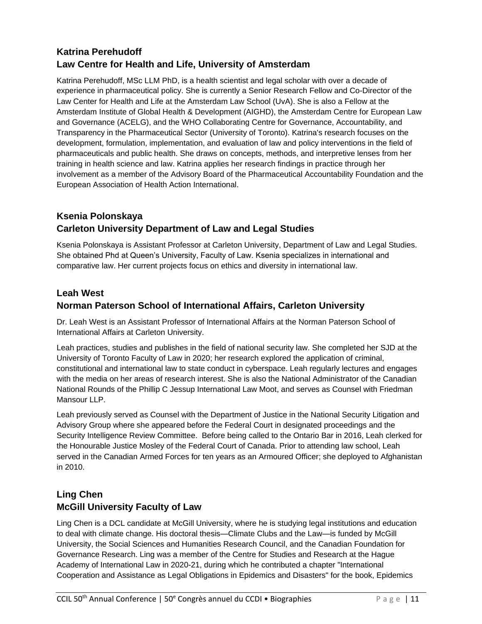# **Katrina Perehudoff Law Centre for Health and Life, University of Amsterdam**

Katrina Perehudoff, MSc LLM PhD, is a health scientist and legal scholar with over a decade of experience in pharmaceutical policy. She is currently a Senior Research Fellow and Co-Director of the Law Center for Health and Life at the Amsterdam Law School (UvA). She is also a Fellow at the Amsterdam Institute of Global Health & Development (AIGHD), the Amsterdam Centre for European Law and Governance (ACELG), and the WHO Collaborating Centre for Governance, Accountability, and Transparency in the Pharmaceutical Sector (University of Toronto). Katrina's research focuses on the development, formulation, implementation, and evaluation of law and policy interventions in the field of pharmaceuticals and public health. She draws on concepts, methods, and interpretive lenses from her training in health science and law. Katrina applies her research findings in practice through her involvement as a member of the Advisory Board of the Pharmaceutical Accountability Foundation and the European Association of Health Action International.

# **Ksenia Polonskaya Carleton University Department of Law and Legal Studies**

Ksenia Polonskaya is Assistant Professor at Carleton University, Department of Law and Legal Studies. She obtained Phd at Queen's University, Faculty of Law. Ksenia specializes in international and comparative law. Her current projects focus on ethics and diversity in international law.

## **Leah West Norman Paterson School of International Affairs, Carleton University**

Dr. Leah West is an Assistant Professor of International Affairs at the Norman Paterson School of International Affairs at Carleton University.

Leah practices, studies and publishes in the field of national security law. She completed her SJD at the University of Toronto Faculty of Law in 2020; her research explored the application of criminal, constitutional and international law to state conduct in cyberspace. Leah regularly lectures and engages with the media on her areas of research interest. She is also the National Administrator of the Canadian National Rounds of the Phillip C Jessup International Law Moot, and serves as Counsel with Friedman Mansour LLP.

Leah previously served as Counsel with the Department of Justice in the National Security Litigation and Advisory Group where she appeared before the Federal Court in designated proceedings and the Security Intelligence Review Committee. Before being called to the Ontario Bar in 2016, Leah clerked for the Honourable Justice Mosley of the Federal Court of Canada. Prior to attending law school, Leah served in the Canadian Armed Forces for ten years as an Armoured Officer; she deployed to Afghanistan in 2010.

# **Ling Chen McGill University Faculty of Law**

Ling Chen is a DCL candidate at McGill University, where he is studying legal institutions and education to deal with climate change. His doctoral thesis—Climate Clubs and the Law—is funded by McGill University, the Social Sciences and Humanities Research Council, and the Canadian Foundation for Governance Research. Ling was a member of the Centre for Studies and Research at the Hague Academy of International Law in 2020-21, during which he contributed a chapter "International Cooperation and Assistance as Legal Obligations in Epidemics and Disasters" for the book, Epidemics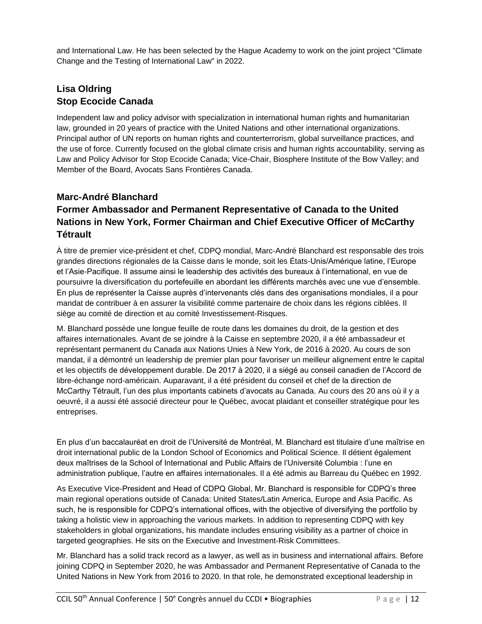and International Law. He has been selected by the Hague Academy to work on the joint project "Climate Change and the Testing of International Law" in 2022.

## **Lisa Oldring Stop Ecocide Canada**

Independent law and policy advisor with specialization in international human rights and humanitarian law, grounded in 20 years of practice with the United Nations and other international organizations. Principal author of UN reports on human rights and counterterrorism, global surveillance practices, and the use of force. Currently focused on the global climate crisis and human rights accountability, serving as Law and Policy Advisor for Stop Ecocide Canada; Vice-Chair, Biosphere Institute of the Bow Valley; and Member of the Board, Avocats Sans Frontières Canada.

#### **Marc-André Blanchard**

# **Former Ambassador and Permanent Representative of Canada to the United Nations in New York, Former Chairman and Chief Executive Officer of McCarthy Tétrault**

À titre de premier vice-président et chef, CDPQ mondial, Marc-André Blanchard est responsable des trois grandes directions régionales de la Caisse dans le monde, soit les États-Unis/Amérique latine, l'Europe et l'Asie-Pacifique. Il assume ainsi le leadership des activités des bureaux à l'international, en vue de poursuivre la diversification du portefeuille en abordant les différents marchés avec une vue d'ensemble. En plus de représenter la Caisse auprès d'intervenants clés dans des organisations mondiales, il a pour mandat de contribuer à en assurer la visibilité comme partenaire de choix dans les régions ciblées. Il siège au comité de direction et au comité Investissement-Risques.

M. Blanchard possède une longue feuille de route dans les domaines du droit, de la gestion et des affaires internationales. Avant de se joindre à la Caisse en septembre 2020, il a été ambassadeur et représentant permanent du Canada aux Nations Unies à New York, de 2016 à 2020. Au cours de son mandat, il a démontré un leadership de premier plan pour favoriser un meilleur alignement entre le capital et les objectifs de développement durable. De 2017 à 2020, il a siégé au conseil canadien de l'Accord de libre-échange nord-américain. Auparavant, il a été président du conseil et chef de la direction de McCarthy Tétrault, l'un des plus importants cabinets d'avocats au Canada. Au cours des 20 ans où il y a oeuvré, il a aussi été associé directeur pour le Québec, avocat plaidant et conseiller stratégique pour les entreprises.

En plus d'un baccalauréat en droit de l'Université de Montréal, M. Blanchard est titulaire d'une maîtrise en droit international public de la London School of Economics and Political Science. Il détient également deux maîtrises de la School of International and Public Affairs de l'Université Columbia : l'une en administration publique, l'autre en affaires internationales. Il a été admis au Barreau du Québec en 1992.

As Executive Vice-President and Head of CDPQ Global, Mr. Blanchard is responsible for CDPQ's three main regional operations outside of Canada: United States/Latin America, Europe and Asia Pacific. As such, he is responsible for CDPQ's international offices, with the objective of diversifying the portfolio by taking a holistic view in approaching the various markets. In addition to representing CDPQ with key stakeholders in global organizations, his mandate includes ensuring visibility as a partner of choice in targeted geographies. He sits on the Executive and Investment-Risk Committees.

Mr. Blanchard has a solid track record as a lawyer, as well as in business and international affairs. Before joining CDPQ in September 2020, he was Ambassador and Permanent Representative of Canada to the United Nations in New York from 2016 to 2020. In that role, he demonstrated exceptional leadership in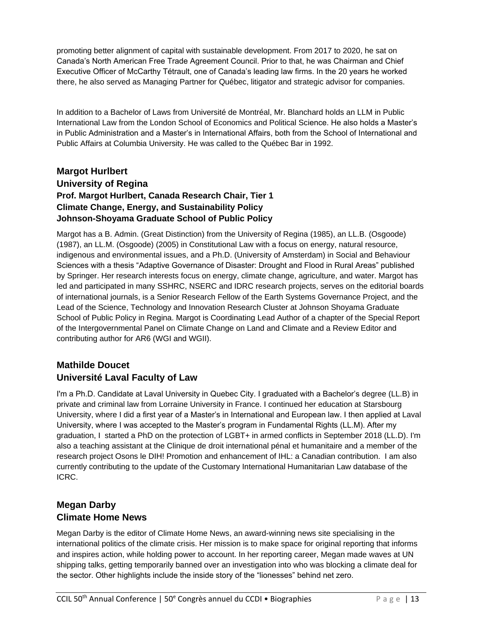promoting better alignment of capital with sustainable development. From 2017 to 2020, he sat on Canada's North American Free Trade Agreement Council. Prior to that, he was Chairman and Chief Executive Officer of McCarthy Tétrault, one of Canada's leading law firms. In the 20 years he worked there, he also served as Managing Partner for Québec, litigator and strategic advisor for companies.

In addition to a Bachelor of Laws from Université de Montréal, Mr. Blanchard holds an LLM in Public International Law from the London School of Economics and Political Science. He also holds a Master's in Public Administration and a Master's in International Affairs, both from the School of International and Public Affairs at Columbia University. He was called to the Québec Bar in 1992.

#### **Margot Hurlbert University of Regina Prof. Margot Hurlbert, Canada Research Chair, Tier 1 Climate Change, Energy, and Sustainability Policy Johnson-Shoyama Graduate School of Public Policy**

Margot has a B. Admin. (Great Distinction) from the University of Regina (1985), an LL.B. (Osgoode) (1987), an LL.M. (Osgoode) (2005) in Constitutional Law with a focus on energy, natural resource, indigenous and environmental issues, and a Ph.D. (University of Amsterdam) in Social and Behaviour Sciences with a thesis "Adaptive Governance of Disaster: Drought and Flood in Rural Areas" published by Springer. Her research interests focus on energy, climate change, agriculture, and water. Margot has led and participated in many SSHRC, NSERC and IDRC research projects, serves on the editorial boards of international journals, is a Senior Research Fellow of the Earth Systems Governance Project, and the Lead of the Science, Technology and Innovation Research Cluster at Johnson Shoyama Graduate School of Public Policy in Regina. Margot is Coordinating Lead Author of a chapter of the Special Report of the Intergovernmental Panel on Climate Change on Land and Climate and a Review Editor and contributing author for AR6 (WGI and WGII).

#### **Mathilde Doucet Université Laval Faculty of Law**

I'm a Ph.D. Candidate at Laval University in Quebec City. I graduated with a Bachelor's degree (LL.B) in private and criminal law from Lorraine University in France. I continued her education at Starsbourg University, where I did a first year of a Master's in International and European law. I then applied at Laval University, where I was accepted to the Master's program in Fundamental Rights (LL.M). After my graduation, I started a PhD on the protection of LGBT+ in armed conflicts in September 2018 (LL.D). I'm also a teaching assistant at the Clinique de droit international pénal et humanitaire and a member of the research project Osons le DIH! Promotion and enhancement of IHL: a Canadian contribution. I am also currently contributing to the update of the Customary International Humanitarian Law database of the ICRC.

#### **Megan Darby Climate Home News**

Megan Darby is the editor of Climate Home News, an award-winning news site specialising in the international politics of the climate crisis. Her mission is to make space for original reporting that informs and inspires action, while holding power to account. In her reporting career, Megan made waves at UN shipping talks, getting temporarily banned over an investigation into who was blocking a climate deal for the sector. Other highlights include the inside story of the "lionesses" behind net zero.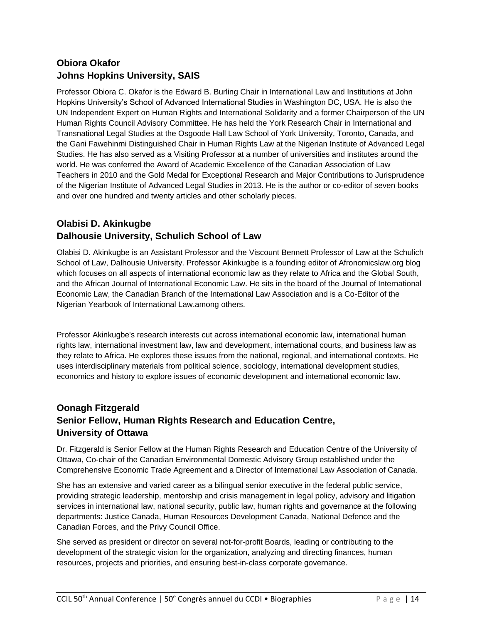# **Obiora Okafor Johns Hopkins University, SAIS**

Professor Obiora C. Okafor is the Edward B. Burling Chair in International Law and Institutions at John Hopkins University's School of Advanced International Studies in Washington DC, USA. He is also the UN Independent Expert on Human Rights and International Solidarity and a former Chairperson of the UN Human Rights Council Advisory Committee. He has held the York Research Chair in International and Transnational Legal Studies at the Osgoode Hall Law School of York University, Toronto, Canada, and the Gani Fawehinmi Distinguished Chair in Human Rights Law at the Nigerian Institute of Advanced Legal Studies. He has also served as a Visiting Professor at a number of universities and institutes around the world. He was conferred the Award of Academic Excellence of the Canadian Association of Law Teachers in 2010 and the Gold Medal for Exceptional Research and Major Contributions to Jurisprudence of the Nigerian Institute of Advanced Legal Studies in 2013. He is the author or co-editor of seven books and over one hundred and twenty articles and other scholarly pieces.

## **Olabisi D. Akinkugbe Dalhousie University, Schulich School of Law**

Olabisi D. Akinkugbe is an Assistant Professor and the Viscount Bennett Professor of Law at the Schulich School of Law, Dalhousie University. Professor Akinkugbe is a founding editor of Afronomicslaw.org blog which focuses on all aspects of international economic law as they relate to Africa and the Global South, and the African Journal of International Economic Law. He sits in the board of the Journal of International Economic Law, the Canadian Branch of the International Law Association and is a Co-Editor of the Nigerian Yearbook of International Law.among others.

Professor Akinkugbe's research interests cut across international economic law, international human rights law, international investment law, law and development, international courts, and business law as they relate to Africa. He explores these issues from the national, regional, and international contexts. He uses interdisciplinary materials from political science, sociology, international development studies, economics and history to explore issues of economic development and international economic law.

# **Oonagh Fitzgerald Senior Fellow, Human Rights Research and Education Centre, University of Ottawa**

Dr. Fitzgerald is Senior Fellow at the Human Rights Research and Education Centre of the University of Ottawa, Co-chair of the Canadian Environmental Domestic Advisory Group established under the Comprehensive Economic Trade Agreement and a Director of International Law Association of Canada.

She has an extensive and varied career as a bilingual senior executive in the federal public service, providing strategic leadership, mentorship and crisis management in legal policy, advisory and litigation services in international law, national security, public law, human rights and governance at the following departments: Justice Canada, Human Resources Development Canada, National Defence and the Canadian Forces, and the Privy Council Office.

She served as president or director on several not-for-profit Boards, leading or contributing to the development of the strategic vision for the organization, analyzing and directing finances, human resources, projects and priorities, and ensuring best-in-class corporate governance.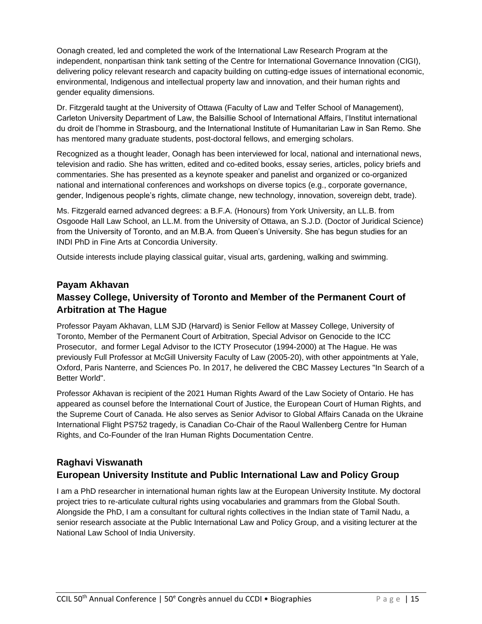Oonagh created, led and completed the work of the International Law Research Program at the independent, nonpartisan think tank setting of the Centre for International Governance Innovation (CIGI), delivering policy relevant research and capacity building on cutting-edge issues of international economic, environmental, Indigenous and intellectual property law and innovation, and their human rights and gender equality dimensions.

Dr. Fitzgerald taught at the University of Ottawa (Faculty of Law and Telfer School of Management), Carleton University Department of Law, the Balsillie School of International Affairs, l'Institut international du droit de l'homme in Strasbourg, and the International Institute of Humanitarian Law in San Remo. She has mentored many graduate students, post-doctoral fellows, and emerging scholars.

Recognized as a thought leader, Oonagh has been interviewed for local, national and international news, television and radio. She has written, edited and co-edited books, essay series, articles, policy briefs and commentaries. She has presented as a keynote speaker and panelist and organized or co-organized national and international conferences and workshops on diverse topics (e.g., corporate governance, gender, Indigenous people's rights, climate change, new technology, innovation, sovereign debt, trade).

Ms. Fitzgerald earned advanced degrees: a B.F.A. (Honours) from York University, an LL.B. from Osgoode Hall Law School, an LL.M. from the University of Ottawa, an S.J.D. (Doctor of Juridical Science) from the University of Toronto, and an M.B.A. from Queen's University. She has begun studies for an INDI PhD in Fine Arts at Concordia University.

Outside interests include playing classical guitar, visual arts, gardening, walking and swimming.

# **Payam Akhavan Massey College, University of Toronto and Member of the Permanent Court of Arbitration at The Hague**

Professor Payam Akhavan, LLM SJD (Harvard) is Senior Fellow at Massey College, University of Toronto, Member of the Permanent Court of Arbitration, Special Advisor on Genocide to the ICC Prosecutor, and former Legal Advisor to the ICTY Prosecutor (1994-2000) at The Hague. He was previously Full Professor at McGill University Faculty of Law (2005-20), with other appointments at Yale, Oxford, Paris Nanterre, and Sciences Po. In 2017, he delivered the CBC Massey Lectures "In Search of a Better World".

Professor Akhavan is recipient of the 2021 Human Rights Award of the Law Society of Ontario. He has appeared as counsel before the International Court of Justice, the European Court of Human Rights, and the Supreme Court of Canada. He also serves as Senior Advisor to Global Affairs Canada on the Ukraine International Flight PS752 tragedy, is Canadian Co-Chair of the Raoul Wallenberg Centre for Human Rights, and Co-Founder of the Iran Human Rights Documentation Centre.

#### **Raghavi Viswanath European University Institute and Public International Law and Policy Group**

I am a PhD researcher in international human rights law at the European University Institute. My doctoral project tries to re-articulate cultural rights using vocabularies and grammars from the Global South. Alongside the PhD, I am a consultant for cultural rights collectives in the Indian state of Tamil Nadu, a senior research associate at the Public International Law and Policy Group, and a visiting lecturer at the National Law School of India University.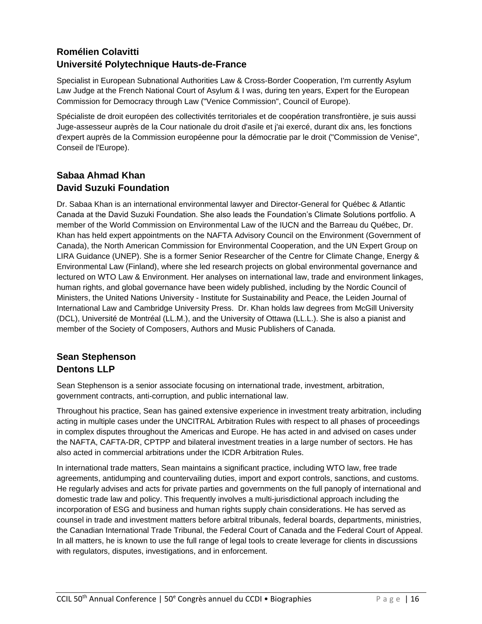# **Romélien Colavitti Université Polytechnique Hauts-de-France**

Specialist in European Subnational Authorities Law & Cross-Border Cooperation, I'm currently Asylum Law Judge at the French National Court of Asylum & I was, during ten years, Expert for the European Commission for Democracy through Law ("Venice Commission", Council of Europe).

Spécialiste de droit européen des collectivités territoriales et de coopération transfrontière, je suis aussi Juge-assesseur auprès de la Cour nationale du droit d'asile et j'ai exercé, durant dix ans, les fonctions d'expert auprès de la Commission européenne pour la démocratie par le droit ("Commission de Venise", Conseil de l'Europe).

#### **Sabaa Ahmad Khan David Suzuki Foundation**

Dr. Sabaa Khan is an international environmental lawyer and Director-General for Québec & Atlantic Canada at the David Suzuki Foundation. She also leads the Foundation's Climate Solutions portfolio. A member of the World Commission on Environmental Law of the IUCN and the Barreau du Québec, Dr. Khan has held expert appointments on the NAFTA Advisory Council on the Environment (Government of Canada), the North American Commission for Environmental Cooperation, and the UN Expert Group on LIRA Guidance (UNEP). She is a former Senior Researcher of the Centre for Climate Change, Energy & Environmental Law (Finland), where she led research projects on global environmental governance and lectured on WTO Law & Environment. Her analyses on international law, trade and environment linkages, human rights, and global governance have been widely published, including by the Nordic Council of Ministers, the United Nations University - Institute for Sustainability and Peace, the Leiden Journal of International Law and Cambridge University Press. Dr. Khan holds law degrees from McGill University (DCL), Université de Montréal (LL.M.), and the University of Ottawa (LL.L.). She is also a pianist and member of the Society of Composers, Authors and Music Publishers of Canada.

## **Sean Stephenson Dentons LLP**

Sean Stephenson is a senior associate focusing on international trade, investment, arbitration, government contracts, anti-corruption, and public international law.

Throughout his practice, Sean has gained extensive experience in investment treaty arbitration, including acting in multiple cases under the UNCITRAL Arbitration Rules with respect to all phases of proceedings in complex disputes throughout the Americas and Europe. He has acted in and advised on cases under the NAFTA, CAFTA-DR, CPTPP and bilateral investment treaties in a large number of sectors. He has also acted in commercial arbitrations under the ICDR Arbitration Rules.

In international trade matters, Sean maintains a significant practice, including WTO law, free trade agreements, antidumping and countervailing duties, import and export controls, sanctions, and customs. He regularly advises and acts for private parties and governments on the full panoply of international and domestic trade law and policy. This frequently involves a multi-jurisdictional approach including the incorporation of ESG and business and human rights supply chain considerations. He has served as counsel in trade and investment matters before arbitral tribunals, federal boards, departments, ministries, the Canadian International Trade Tribunal, the Federal Court of Canada and the Federal Court of Appeal. In all matters, he is known to use the full range of legal tools to create leverage for clients in discussions with regulators, disputes, investigations, and in enforcement.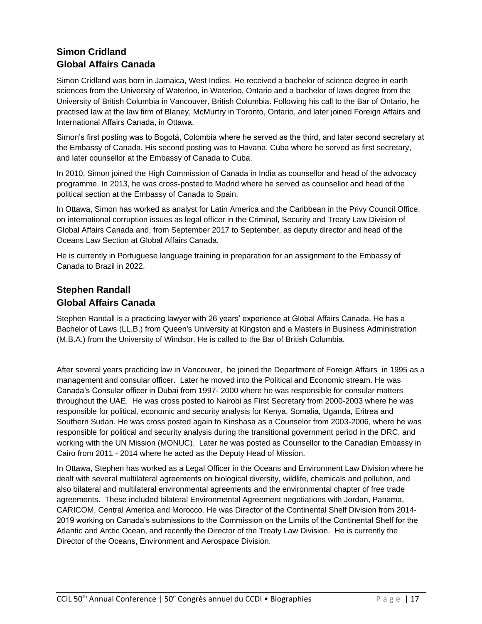# **Simon Cridland Global Affairs Canada**

Simon Cridland was born in Jamaica, West Indies. He received a bachelor of science degree in earth sciences from the University of Waterloo, in Waterloo, Ontario and a bachelor of laws degree from the University of British Columbia in Vancouver, British Columbia. Following his call to the Bar of Ontario, he practised law at the law firm of Blaney, McMurtry in Toronto, Ontario, and later joined Foreign Affairs and International Affairs Canada, in Ottawa.

Simon's first posting was to Bogotá, Colombia where he served as the third, and later second secretary at the Embassy of Canada. His second posting was to Havana, Cuba where he served as first secretary, and later counsellor at the Embassy of Canada to Cuba.

In 2010, Simon joined the High Commission of Canada in India as counsellor and head of the advocacy programme. In 2013, he was cross-posted to Madrid where he served as counsellor and head of the political section at the Embassy of Canada to Spain.

In Ottawa, Simon has worked as analyst for Latin America and the Caribbean in the Privy Council Office, on international corruption issues as legal officer in the Criminal, Security and Treaty Law Division of Global Affairs Canada and, from September 2017 to September, as deputy director and head of the Oceans Law Section at Global Affairs Canada.

He is currently in Portuguese language training in preparation for an assignment to the Embassy of Canada to Brazil in 2022.

## **Stephen Randall Global Affairs Canada**

Stephen Randall is a practicing lawyer with 26 years' experience at Global Affairs Canada. He has a Bachelor of Laws (LL.B.) from Queen's University at Kingston and a Masters in Business Administration (M.B.A.) from the University of Windsor. He is called to the Bar of British Columbia.

After several years practicing law in Vancouver, he joined the Department of Foreign Affairs in 1995 as a management and consular officer. Later he moved into the Political and Economic stream. He was Canada's Consular officer in Dubai from 1997- 2000 where he was responsible for consular matters throughout the UAE. He was cross posted to Nairobi as First Secretary from 2000-2003 where he was responsible for political, economic and security analysis for Kenya, Somalia, Uganda, Eritrea and Southern Sudan. He was cross posted again to Kinshasa as a Counselor from 2003-2006, where he was responsible for political and security analysis during the transitional government period in the DRC, and working with the UN Mission (MONUC). Later he was posted as Counsellor to the Canadian Embassy in Cairo from 2011 - 2014 where he acted as the Deputy Head of Mission.

In Ottawa, Stephen has worked as a Legal Officer in the Oceans and Environment Law Division where he dealt with several multilateral agreements on biological diversity, wildlife, chemicals and pollution, and also bilateral and multilateral environmental agreements and the environmental chapter of free trade agreements. These included bilateral Environmental Agreement negotiations with Jordan, Panama, CARICOM, Central America and Morocco. He was Director of the Continental Shelf Division from 2014- 2019 working on Canada's submissions to the Commission on the Limits of the Continental Shelf for the Atlantic and Arctic Ocean, and recently the Director of the Treaty Law Division. He is currently the Director of the Oceans, Environment and Aerospace Division.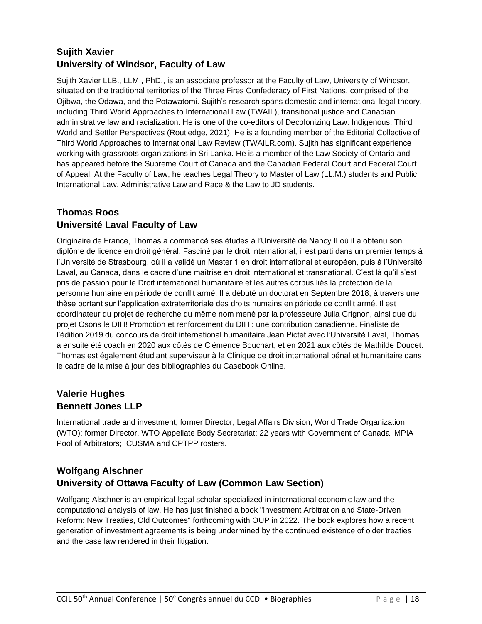# **Sujith Xavier University of Windsor, Faculty of Law**

Sujith Xavier LLB., LLM., PhD., is an associate professor at the Faculty of Law, University of Windsor, situated on the traditional territories of the Three Fires Confederacy of First Nations, comprised of the Ojibwa, the Odawa, and the Potawatomi. Sujith's research spans domestic and international legal theory, including Third World Approaches to International Law (TWAIL), transitional justice and Canadian administrative law and racialization. He is one of the co-editors of Decolonizing Law: Indigenous, Third World and Settler Perspectives (Routledge, 2021). He is a founding member of the Editorial Collective of Third World Approaches to International Law Review (TWAILR.com). Sujith has significant experience working with grassroots organizations in Sri Lanka. He is a member of the Law Society of Ontario and has appeared before the Supreme Court of Canada and the Canadian Federal Court and Federal Court of Appeal. At the Faculty of Law, he teaches Legal Theory to Master of Law (LL.M.) students and Public International Law, Administrative Law and Race & the Law to JD students.

## **Thomas Roos Université Laval Faculty of Law**

Originaire de France, Thomas a commencé ses études à l'Université de Nancy II où il a obtenu son diplôme de licence en droit général. Fasciné par le droit international, il est parti dans un premier temps à l'Université de Strasbourg, où il a validé un Master 1 en droit international et européen, puis à l'Université Laval, au Canada, dans le cadre d'une maîtrise en droit international et transnational. C'est là qu'il s'est pris de passion pour le Droit international humanitaire et les autres corpus liés la protection de la personne humaine en période de conflit armé. Il a débuté un doctorat en Septembre 2018, à travers une thèse portant sur l'application extraterritoriale des droits humains en période de conflit armé. Il est coordinateur du projet de recherche du même nom mené par la professeure Julia Grignon, ainsi que du projet Osons le DIH! Promotion et renforcement du DIH : une contribution canadienne. Finaliste de l'édition 2019 du concours de droit international humanitaire Jean Pictet avec l'Université Laval, Thomas a ensuite été coach en 2020 aux côtés de Clémence Bouchart, et en 2021 aux côtés de Mathilde Doucet. Thomas est également étudiant superviseur à la Clinique de droit international pénal et humanitaire dans le cadre de la mise à jour des bibliographies du Casebook Online.

## **Valerie Hughes Bennett Jones LLP**

International trade and investment; former Director, Legal Affairs Division, World Trade Organization (WTO); former Director, WTO Appellate Body Secretariat; 22 years with Government of Canada; MPIA Pool of Arbitrators; CUSMA and CPTPP rosters.

## **Wolfgang Alschner University of Ottawa Faculty of Law (Common Law Section)**

Wolfgang Alschner is an empirical legal scholar specialized in international economic law and the computational analysis of law. He has just finished a book "Investment Arbitration and State-Driven Reform: New Treaties, Old Outcomes" forthcoming with OUP in 2022. The book explores how a recent generation of investment agreements is being undermined by the continued existence of older treaties and the case law rendered in their litigation.